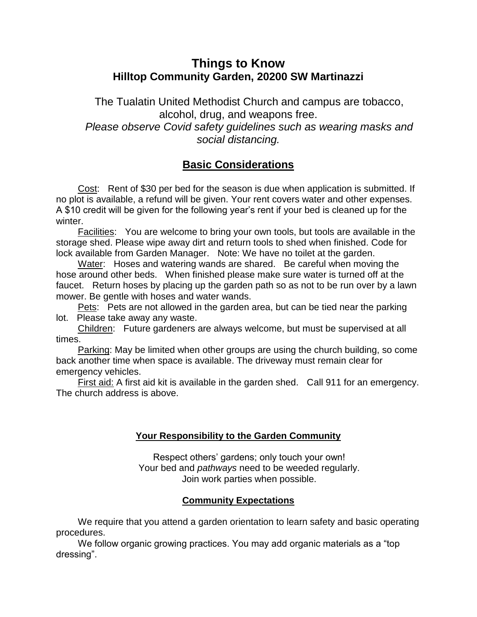# **Things to Know Hilltop Community Garden, 20200 SW Martinazzi**

The Tualatin United Methodist Church and campus are tobacco, alcohol, drug, and weapons free. *Please observe Covid safety guidelines such as wearing masks and social distancing.*

# **Basic Considerations**

Cost: Rent of \$30 per bed for the season is due when application is submitted. If no plot is available, a refund will be given. Your rent covers water and other expenses. A \$10 credit will be given for the following year's rent if your bed is cleaned up for the winter.

Facilities: You are welcome to bring your own tools, but tools are available in the storage shed. Please wipe away dirt and return tools to shed when finished. Code for lock available from Garden Manager. Note: We have no toilet at the garden.

Water: Hoses and watering wands are shared. Be careful when moving the hose around other beds. When finished please make sure water is turned off at the faucet. Return hoses by placing up the garden path so as not to be run over by a lawn mower. Be gentle with hoses and water wands.

Pets: Pets are not allowed in the garden area, but can be tied near the parking lot. Please take away any waste.

Children: Future gardeners are always welcome, but must be supervised at all times.

Parking: May be limited when other groups are using the church building, so come back another time when space is available. The driveway must remain clear for emergency vehicles.

First aid: A first aid kit is available in the garden shed. Call 911 for an emergency. The church address is above.

## **Your Responsibility to the Garden Community**

Respect others' gardens; only touch your own! Your bed and *pathways* need to be weeded regularly. Join work parties when possible.

## **Community Expectations**

We require that you attend a garden orientation to learn safety and basic operating procedures.

We follow organic growing practices. You may add organic materials as a "top dressing".